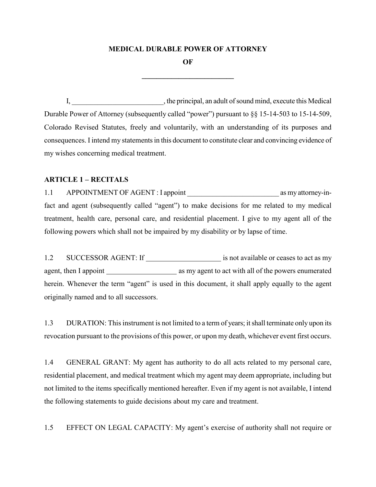## **MEDICAL DURABLE POWER OF ATTORNEY**

**OF**

**\_\_\_\_\_\_\_\_\_\_\_\_\_\_\_\_\_\_\_\_\_\_\_\_\_**

I, the principal, an adult of sound mind, execute this Medical Durable Power of Attorney (subsequently called "power") pursuant to §§ 15-14-503 to 15-14-509, Colorado Revised Statutes, freely and voluntarily, with an understanding of its purposes and consequences. I intend my statements in this document to constitute clear and convincing evidence of my wishes concerning medical treatment.

## **ARTICLE 1 – RECITALS**

1.1 APPOINTMENT OF AGENT : I appoint as my attorney-infact and agent (subsequently called "agent") to make decisions for me related to my medical treatment, health care, personal care, and residential placement. I give to my agent all of the following powers which shall not be impaired by my disability or by lapse of time.

1.2 SUCCESSOR AGENT: If is not available or ceases to act as my agent, then I appoint as my agent to act with all of the powers enumerated herein. Whenever the term "agent" is used in this document, it shall apply equally to the agent originally named and to all successors.

1.3 DURATION: This instrument is not limited to a term of years; it shall terminate only upon its revocation pursuant to the provisions of this power, or upon my death, whichever event first occurs.

1.4 GENERAL GRANT: My agent has authority to do all acts related to my personal care, residential placement, and medical treatment which my agent may deem appropriate, including but not limited to the items specifically mentioned hereafter. Even if my agent is not available, I intend the following statements to guide decisions about my care and treatment.

1.5 EFFECT ON LEGAL CAPACITY: My agent's exercise of authority shall not require or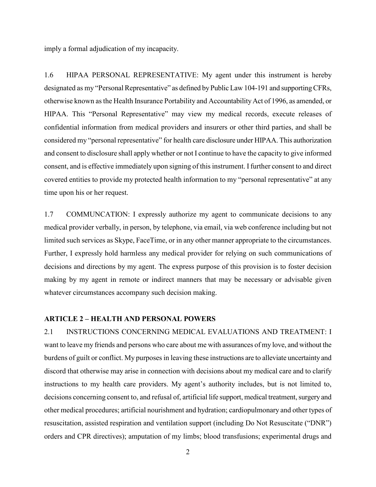imply a formal adjudication of my incapacity.

1.6 HIPAA PERSONAL REPRESENTATIVE: My agent under this instrument is hereby designated as my "Personal Representative" as defined by Public Law 104-191 and supporting CFRs, otherwise known as the Health Insurance Portability and Accountability Act of 1996, as amended, or HIPAA. This "Personal Representative" may view my medical records, execute releases of confidential information from medical providers and insurers or other third parties, and shall be considered my "personal representative" for health care disclosure under HIPAA. This authorization and consent to disclosure shall apply whether or not I continue to have the capacity to give informed consent, and is effective immediately upon signing of this instrument. I further consent to and direct covered entities to provide my protected health information to my "personal representative" at any time upon his or her request.

1.7 COMMUNCATION: I expressly authorize my agent to communicate decisions to any medical provider verbally, in person, by telephone, via email, via web conference including but not limited such services as Skype, FaceTime, or in any other manner appropriate to the circumstances. Further, I expressly hold harmless any medical provider for relying on such communications of decisions and directions by my agent. The express purpose of this provision is to foster decision making by my agent in remote or indirect manners that may be necessary or advisable given whatever circumstances accompany such decision making.

## **ARTICLE 2 – HEALTH AND PERSONAL POWERS**

2.1 INSTRUCTIONS CONCERNING MEDICAL EVALUATIONS AND TREATMENT: I want to leave my friends and persons who care about me with assurances of my love, and without the burdens of guilt or conflict. My purposes in leaving these instructions are to alleviate uncertainty and discord that otherwise may arise in connection with decisions about my medical care and to clarify instructions to my health care providers. My agent's authority includes, but is not limited to, decisions concerning consent to, and refusal of, artificial life support, medical treatment, surgery and other medical procedures; artificial nourishment and hydration; cardiopulmonary and other types of resuscitation, assisted respiration and ventilation support (including Do Not Resuscitate ("DNR") orders and CPR directives); amputation of my limbs; blood transfusions; experimental drugs and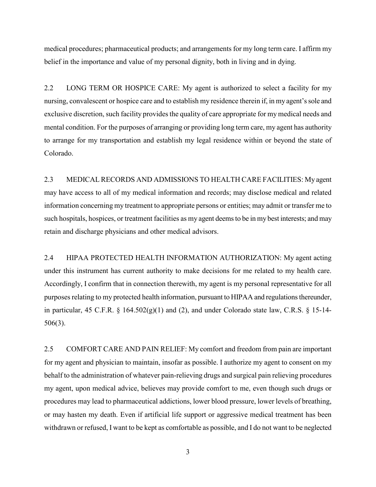medical procedures; pharmaceutical products; and arrangements for my long term care. I affirm my belief in the importance and value of my personal dignity, both in living and in dying.

2.2 LONG TERM OR HOSPICE CARE: My agent is authorized to select a facility for my nursing, convalescent or hospice care and to establish my residence therein if, in my agent's sole and exclusive discretion, such facility provides the quality of care appropriate for my medical needs and mental condition. For the purposes of arranging or providing long term care, my agent has authority to arrange for my transportation and establish my legal residence within or beyond the state of Colorado.

2.3 MEDICAL RECORDS AND ADMISSIONS TO HEALTH CARE FACILITIES: My agent may have access to all of my medical information and records; may disclose medical and related information concerning my treatment to appropriate persons or entities; may admit or transfer me to such hospitals, hospices, or treatment facilities as my agent deems to be in my best interests; and may retain and discharge physicians and other medical advisors.

2.4 HIPAA PROTECTED HEALTH INFORMATION AUTHORIZATION: My agent acting under this instrument has current authority to make decisions for me related to my health care. Accordingly, I confirm that in connection therewith, my agent is my personal representative for all purposes relating to my protected health information, pursuant to HIPAA and regulations thereunder, in particular, 45 C.F.R. § 164.502(g)(1) and (2), and under Colorado state law, C.R.S. § 15-14- 506(3).

2.5 COMFORT CARE AND PAIN RELIEF: My comfort and freedom from pain are important for my agent and physician to maintain, insofar as possible. I authorize my agent to consent on my behalf to the administration of whatever pain-relieving drugs and surgical pain relieving procedures my agent, upon medical advice, believes may provide comfort to me, even though such drugs or procedures may lead to pharmaceutical addictions, lower blood pressure, lower levels of breathing, or may hasten my death. Even if artificial life support or aggressive medical treatment has been withdrawn or refused, I want to be kept as comfortable as possible, and I do not want to be neglected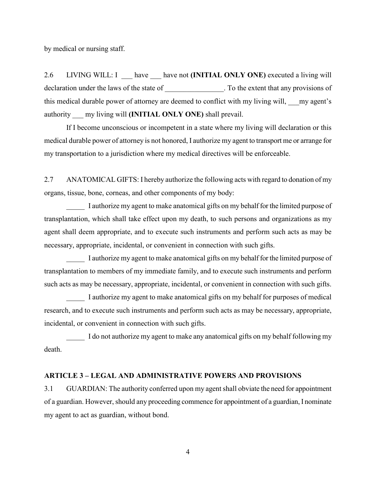by medical or nursing staff.

2.6 LIVING WILL: I have have not **(INITIAL ONLY ONE)** executed a living will declaration under the laws of the state of  $\blacksquare$ . To the extent that any provisions of this medical durable power of attorney are deemed to conflict with my living will, \_\_\_my agent's authority \_\_\_ my living will **(INITIAL ONLY ONE)** shall prevail.

If I become unconscious or incompetent in a state where my living will declaration or this medical durable power of attorney is not honored, I authorize my agent to transport me or arrange for my transportation to a jurisdiction where my medical directives will be enforceable.

2.7 ANATOMICAL GIFTS: I hereby authorize the following acts with regard to donation of my organs, tissue, bone, corneas, and other components of my body:

\_\_\_\_\_ I authorize my agent to make anatomical gifts on my behalf for the limited purpose of transplantation, which shall take effect upon my death, to such persons and organizations as my agent shall deem appropriate, and to execute such instruments and perform such acts as may be necessary, appropriate, incidental, or convenient in connection with such gifts.

I authorize my agent to make anatomical gifts on my behalf for the limited purpose of transplantation to members of my immediate family, and to execute such instruments and perform such acts as may be necessary, appropriate, incidental, or convenient in connection with such gifts.

I authorize my agent to make anatomical gifts on my behalf for purposes of medical research, and to execute such instruments and perform such acts as may be necessary, appropriate, incidental, or convenient in connection with such gifts.

I do not authorize my agent to make any anatomical gifts on my behalf following my death.

## **ARTICLE 3 – LEGAL AND ADMINISTRATIVE POWERS AND PROVISIONS**

3.1 GUARDIAN: The authority conferred upon my agent shall obviate the need for appointment of a guardian. However, should any proceeding commence for appointment of a guardian, I nominate my agent to act as guardian, without bond.

4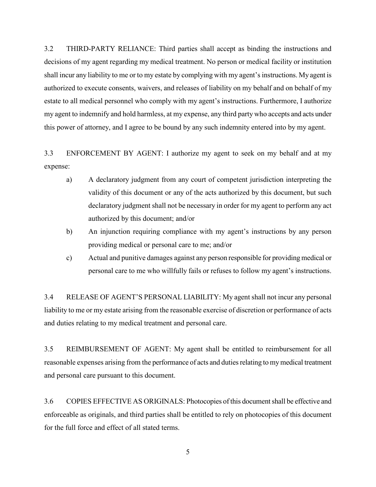3.2 THIRD-PARTY RELIANCE: Third parties shall accept as binding the instructions and decisions of my agent regarding my medical treatment. No person or medical facility or institution shall incur any liability to me or to my estate by complying with my agent's instructions. My agent is authorized to execute consents, waivers, and releases of liability on my behalf and on behalf of my estate to all medical personnel who comply with my agent's instructions. Furthermore, I authorize my agent to indemnify and hold harmless, at my expense, any third party who accepts and acts under this power of attorney, and I agree to be bound by any such indemnity entered into by my agent.

3.3 ENFORCEMENT BY AGENT: I authorize my agent to seek on my behalf and at my expense:

- a) A declaratory judgment from any court of competent jurisdiction interpreting the validity of this document or any of the acts authorized by this document, but such declaratory judgment shall not be necessary in order for my agent to perform any act authorized by this document; and/or
- b) An injunction requiring compliance with my agent's instructions by any person providing medical or personal care to me; and/or
- c) Actual and punitive damages against any person responsible for providing medical or personal care to me who willfully fails or refuses to follow my agent's instructions.

3.4 RELEASE OF AGENT'S PERSONAL LIABILITY: My agent shall not incur any personal liability to me or my estate arising from the reasonable exercise of discretion or performance of acts and duties relating to my medical treatment and personal care.

3.5 REIMBURSEMENT OF AGENT: My agent shall be entitled to reimbursement for all reasonable expenses arising from the performance of acts and duties relating to my medical treatment and personal care pursuant to this document.

3.6 COPIES EFFECTIVE AS ORIGINALS: Photocopies of this document shall be effective and enforceable as originals, and third parties shall be entitled to rely on photocopies of this document for the full force and effect of all stated terms.

5